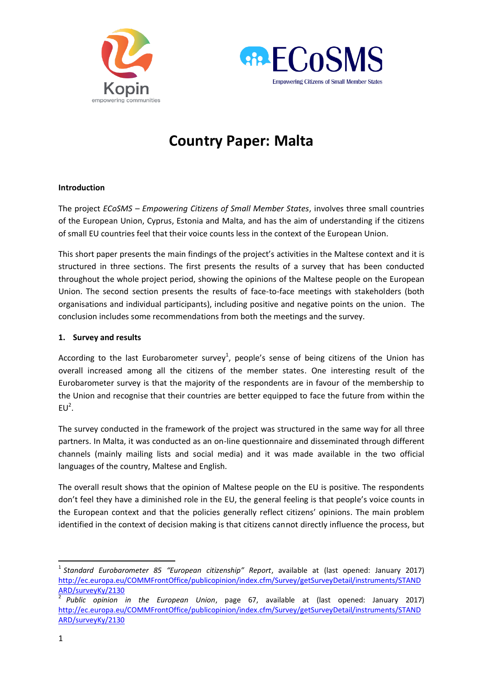



# **Country Paper: Malta**

### **Introduction**

The project *ECoSMS – Empowering Citizens of Small Member States*, involves three small countries of the European Union, Cyprus, Estonia and Malta, and has the aim of understanding if the citizens of small EU countries feel that their voice counts less in the context of the European Union.

This short paper presents the main findings of the project's activities in the Maltese context and it is structured in three sections. The first presents the results of a survey that has been conducted throughout the whole project period, showing the opinions of the Maltese people on the European Union. The second section presents the results of face-to-face meetings with stakeholders (both organisations and individual participants), including positive and negative points on the union. The conclusion includes some recommendations from both the meetings and the survey.

#### **1. Survey and results**

According to the last Eurobarometer survey<sup>1</sup>, people's sense of being citizens of the Union has overall increased among all the citizens of the member states. One interesting result of the Eurobarometer survey is that the majority of the respondents are in favour of the membership to the Union and recognise that their countries are better equipped to face the future from within the  $EU^2$ .

The survey conducted in the framework of the project was structured in the same way for all three partners. In Malta, it was conducted as an on-line questionnaire and disseminated through different channels (mainly mailing lists and social media) and it was made available in the two official languages of the country, Maltese and English.

The overall result shows that the opinion of Maltese people on the EU is positive. The respondents don't feel they have a diminished role in the EU, the general feeling is that people's voice counts in the European context and that the policies generally reflect citizens' opinions. The main problem identified in the context of decision making is that citizens cannot directly influence the process, but

1

<sup>1</sup> *Standard Eurobarometer 85 "European citizenship" Report*, available at (last opened: January 2017) [http://ec.europa.eu/COMMFrontOffice/publicopinion/index.cfm/Survey/getSurveyDetail/instruments/STAND](http://ec.europa.eu/COMMFrontOffice/publicopinion/index.cfm/Survey/getSurveyDetail/instruments/STANDARD/surveyKy/2130) [ARD/surveyKy/2130](http://ec.europa.eu/COMMFrontOffice/publicopinion/index.cfm/Survey/getSurveyDetail/instruments/STANDARD/surveyKy/2130) 

<sup>2</sup> *Public opinion in the European Union*, page 67, available at (last opened: January 2017) [http://ec.europa.eu/COMMFrontOffice/publicopinion/index.cfm/Survey/getSurveyDetail/instruments/STAND](http://ec.europa.eu/COMMFrontOffice/publicopinion/index.cfm/Survey/getSurveyDetail/instruments/STANDARD/surveyKy/2130) [ARD/surveyKy/2130](http://ec.europa.eu/COMMFrontOffice/publicopinion/index.cfm/Survey/getSurveyDetail/instruments/STANDARD/surveyKy/2130)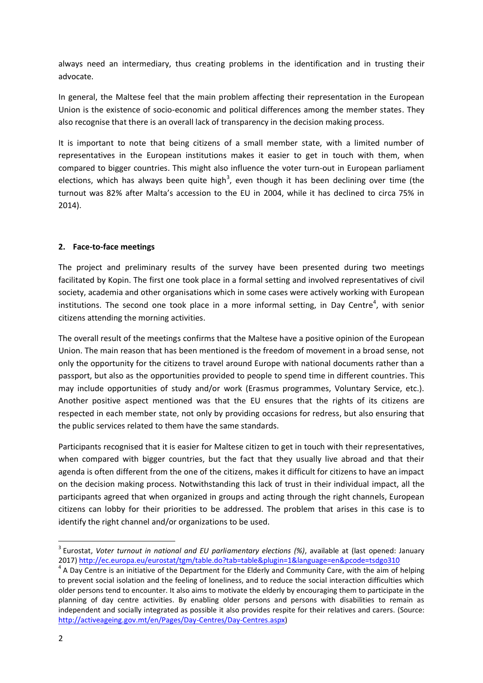always need an intermediary, thus creating problems in the identification and in trusting their advocate.

In general, the Maltese feel that the main problem affecting their representation in the European Union is the existence of socio-economic and political differences among the member states. They also recognise that there is an overall lack of transparency in the decision making process.

It is important to note that being citizens of a small member state, with a limited number of representatives in the European institutions makes it easier to get in touch with them, when compared to bigger countries. This might also influence the voter turn-out in European parliament elections, which has always been quite high<sup>3</sup>, even though it has been declining over time (the turnout was 82% after Malta's accession to the EU in 2004, while it has declined to circa 75% in 2014).

## **2. Face-to-face meetings**

The project and preliminary results of the survey have been presented during two meetings facilitated by Kopin. The first one took place in a formal setting and involved representatives of civil society, academia and other organisations which in some cases were actively working with European institutions. The second one took place in a more informal setting, in Day Centre<sup>4</sup>, with senior citizens attending the morning activities.

The overall result of the meetings confirms that the Maltese have a positive opinion of the European Union. The main reason that has been mentioned is the freedom of movement in a broad sense, not only the opportunity for the citizens to travel around Europe with national documents rather than a passport, but also as the opportunities provided to people to spend time in different countries. This may include opportunities of study and/or work (Erasmus programmes, Voluntary Service, etc.). Another positive aspect mentioned was that the EU ensures that the rights of its citizens are respected in each member state, not only by providing occasions for redress, but also ensuring that the public services related to them have the same standards.

Participants recognised that it is easier for Maltese citizen to get in touch with their representatives, when compared with bigger countries, but the fact that they usually live abroad and that their agenda is often different from the one of the citizens, makes it difficult for citizens to have an impact on the decision making process. Notwithstanding this lack of trust in their individual impact, all the participants agreed that when organized in groups and acting through the right channels, European citizens can lobby for their priorities to be addressed. The problem that arises in this case is to identify the right channel and/or organizations to be used.

1

<sup>3</sup> Eurostat, *Voter turnout in national and EU parliamentary elections (%)*, available at (last opened: January 2017[\) http://ec.europa.eu/eurostat/tgm/table.do?tab=table&plugin=1&language=en&pcode=tsdgo310](http://ec.europa.eu/eurostat/tgm/table.do?tab=table&plugin=1&language=en&pcode=tsdgo310)

 $4$  A Day Centre is an initiative of the Department for the Elderly and Community Care, with the aim of helping to prevent social isolation and the feeling of loneliness, and to reduce the social interaction difficulties which older persons tend to encounter. It also aims to motivate the elderly by encouraging them to participate in the planning of day centre activities. By enabling older persons and persons with disabilities to remain as independent and socially integrated as possible it also provides respite for their relatives and carers. (Source: [http://activeageing.gov.mt/en/Pages/Day-Centres/Day-Centres.aspx\)](http://activeageing.gov.mt/en/Pages/Day-Centres/Day-Centres.aspx)